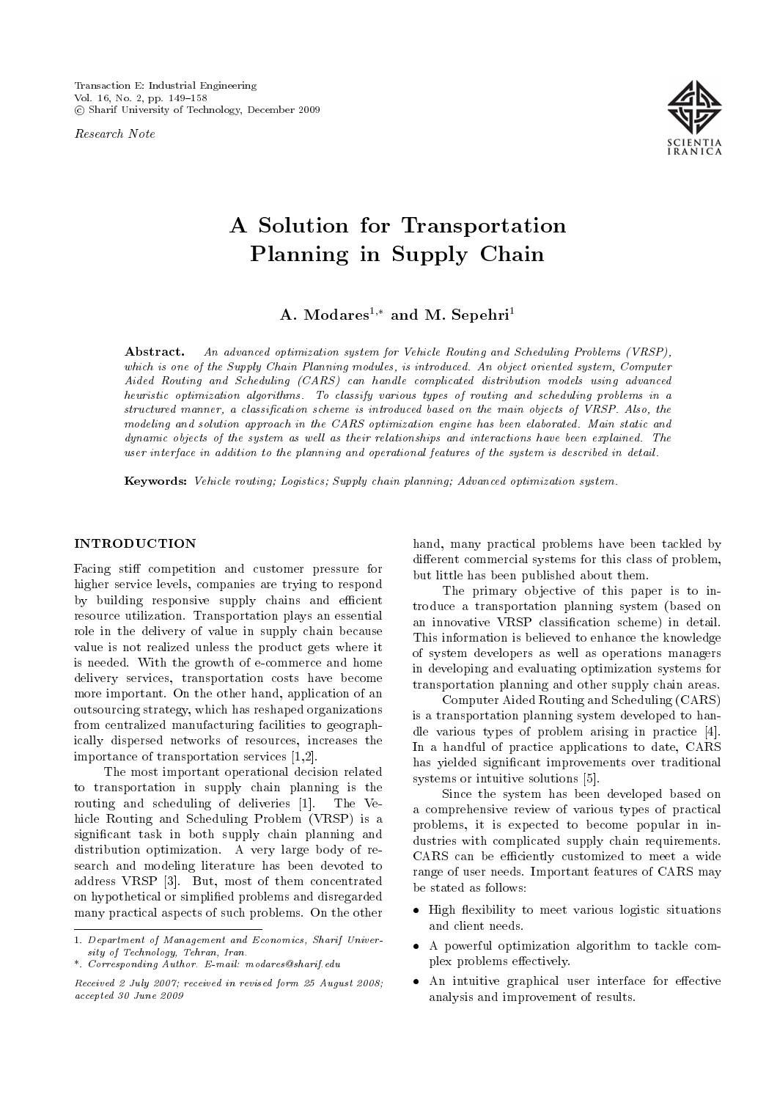Research Note



# A Solution for Transportation Planning in Supply Chain

A. Modares<sup>1,\*</sup> and M. Sepehri<sup>1</sup>

Abstract. An advanced optimization system for Vehicle Routing and Scheduling Problems (VRSP), which is one of the Supply Chain Planning modules, is introduced. An object oriented system, Computer Aided Routing and Scheduling (CARS) can handle complicated distribution models using advanced heuristic optimization algorithms. To classify various types of routing and scheduling problems in a structured manner, a classication scheme is introduced based on the main objects of VRSP. Also, the modeling and solution approach in the CARS optimization engine has been elaborated. Main static and dynamic objects of the system as well as their relationships and interactions have been explained. The user interface in addition to the planning and operational features of the system is described in detail.

Keywords: Vehicle routing; Logistics; Supply chain planning; Advanced optimization system.

### INTRODUCTION

Facing stiff competition and customer pressure for higher service levels, companies are trying to respond by building responsive supply chains and efficient resource utilization. Transportation plays an essential role in the delivery of value in supply chain because value is not realized unless the product gets where it is needed. With the growth of e-commerce and home delivery services, transportation costs have become more important. On the other hand, application of an outsourcing strategy, which has reshaped organizations from centralized manufacturing facilities to geographically dispersed networks of resources, increases the importance of transportation services [1,2].

The most important operational decision related to transportation in supply chain planning is the routing and scheduling of deliveries [1]. The Vehicle Routing and Scheduling Problem (VRSP) is a signicant task in both supply chain planning and distribution optimization. A very large body of research and modeling literature has been devoted to address VRSP [3]. But, most of them concentrated on hypothetical or simplied problems and disregarded many practical aspects of such problems. On the other

hand, many practical problems have been tackled by different commercial systems for this class of problem, but little has been published about them.

The primary objective of this paper is to introduce a transportation planning system (based on an innovative VRSP classication scheme) in detail. This information is believed to enhance the knowledge of system developers as well as operations managers in developing and evaluating optimization systems for transportation planning and other supply chain areas.

Computer Aided Routing and Scheduling (CARS) is a transportation planning system developed to handle various types of problem arising in practice [4]. In a handful of practice applications to date, CARS has yielded signicant improvements over traditional systems or intuitive solutions [5].

Since the system has been developed based on a comprehensive review of various types of practical problems, it is expected to become popular in industries with complicated supply chain requirements. CARS can be efficiently customized to meet a wide range of user needs. Important features of CARS may be stated as follows:

- High flexibility to meet various logistic situations and client needs.
- A powerful optimization algorithm to tackle complex problems effectively.
- $\bullet$  An intuitive graphical user interface for effective analysis and improvement of results.

<sup>1.</sup> Department of Management and Economics, Sharif University of Technology, Tehran, Iran.

<sup>\*.</sup> Corresponding Author. E-mail: modares@sharif.edu

Received 2 July 2007; received in revised form 25 August 2008; accepted 30 June 2009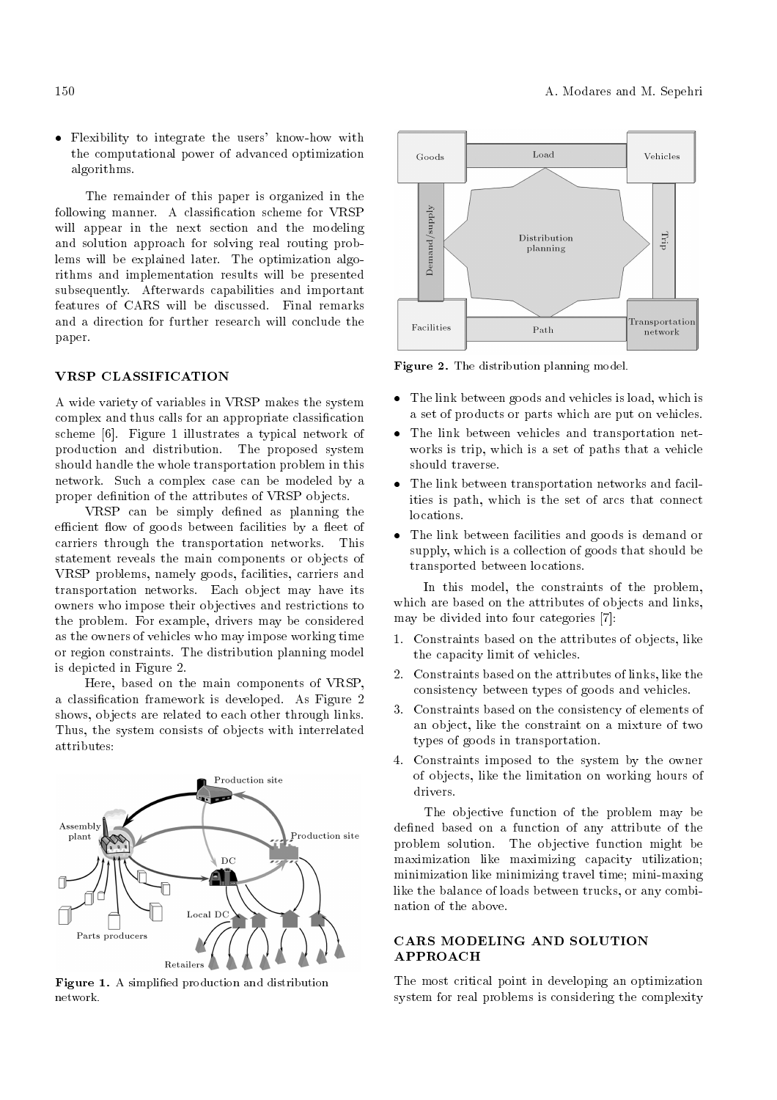Flexibility to integrate the users' know-how with the computational power of advanced optimization algorithms.

The remainder of this paper is organized in the following manner. A classication scheme for VRSP will appear in the next section and the modeling and solution approach for solving real routing problems will be explained later. The optimization algorithms and implementation results will be presented subsequently. Afterwards capabilities and important features of CARS will be discussed. Final remarks and a direction for further research will conclude the paper.

#### VRSP CLASSIFICATION

A wide variety of variables in VRSP makes the system complex and thus calls for an appropriate classication scheme [6]. Figure 1 illustrates a typical network of production and distribution. The proposed system should handle the whole transportation problem in this network. Such a complex case can be modeled by a proper definition of the attributes of VRSP objects.

VRSP can be simply defined as planning the efficient flow of goods between facilities by a fleet of carriers through the transportation networks. This statement reveals the main components or objects of VRSP problems, namely goods, facilities, carriers and transportation networks. Each object may have its owners who impose their objectives and restrictions to the problem. For example, drivers may be considered as the owners of vehicles who may impose working time or region constraints. The distribution planning model is depicted in Figure 2.

Here, based on the main components of VRSP, a classication framework is developed. As Figure 2 shows, objects are related to each other through links. Thus, the system consists of objects with interrelated attributes:



Figure 1. A simplified production and distribution network.



Figure 2. The distribution planning model.

- The link between goods and vehicles is load, which is a set of products or parts which are put on vehicles.
- The link between vehicles and transportation networks is trip, which is a set of paths that a vehicle should traverse.
- The link between transportation networks and facilities is path, which is the set of arcs that connect locations.
- The link between facilities and goods is demand or supply, which is a collection of goods that should be transported between locations.

In this model, the constraints of the problem, which are based on the attributes of objects and links, may be divided into four categories [7]:

- 1. Constraints based on the attributes of objects, like the capacity limit of vehicles.
- 2. Constraints based on the attributes of links, like the consistency between types of goods and vehicles.
- 3. Constraints based on the consistency of elements of an object, like the constraint on a mixture of two types of goods in transportation.
- 4. Constraints imposed to the system by the owner of objects, like the limitation on working hours of drivers.

The objective function of the problem may be defined based on a function of any attribute of the problem solution. The objective function might be maximization like maximizing capacity utilization; minimization like minimizing travel time; mini-maxing like the balance of loads between trucks, or any combination of the above.

# CARS MODELING AND SOLUTION APPROACH

The most critical point in developing an optimization system for real problems is considering the complexity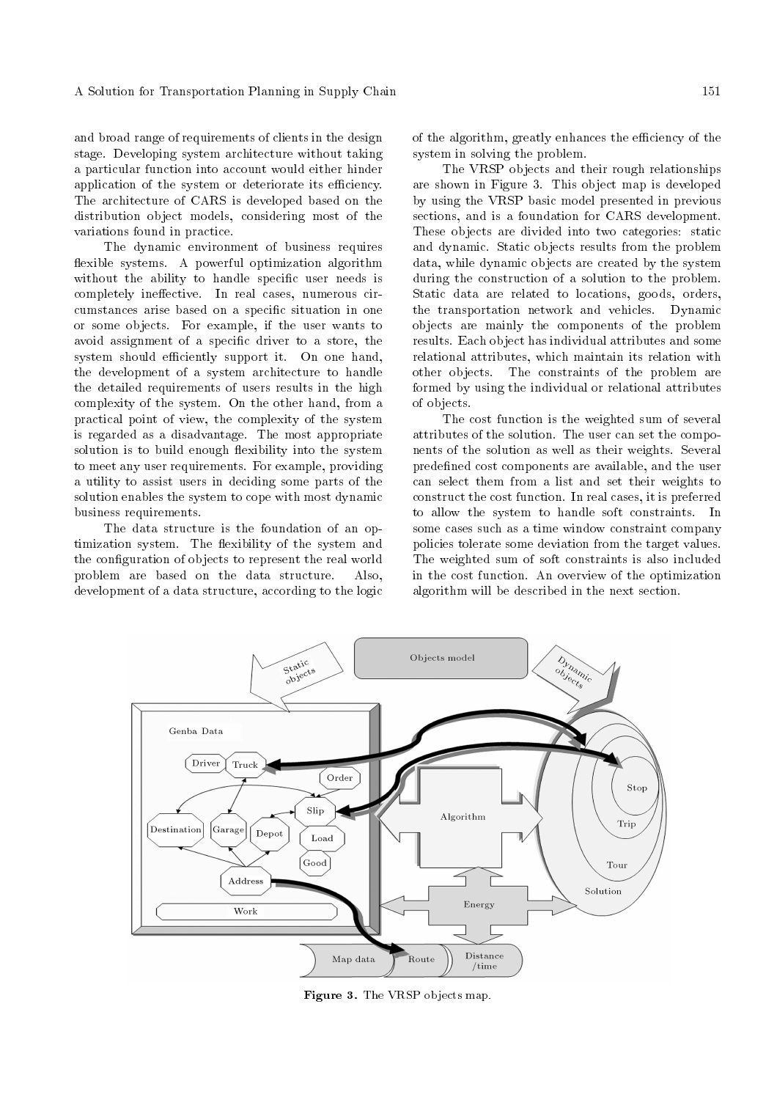and broad range of requirements of clients in the design stage. Developing system architecture without taking a particular function into account would either hinder application of the system or deteriorate its efficiency. The architecture of CARS is developed based on the distribution object models, considering most of the variations found in practice.

The dynamic environment of business requires flexible systems. A powerful optimization algorithm without the ability to handle specific user needs is completely ineffective. In real cases, numerous circumstances arise based on a specic situation in one or some objects. For example, if the user wants to avoid assignment of a specic driver to a store, the system should efficiently support it. On one hand, the development of a system architecture to handle the detailed requirements of users results in the high complexity of the system. On the other hand, from a practical point of view, the complexity of the system is regarded as a disadvantage. The most appropriate solution is to build enough flexibility into the system to meet any user requirements. For example, providing a utility to assist users in deciding some parts of the solution enables the system to cope with most dynamic business requirements.

The data structure is the foundation of an optimization system. The flexibility of the system and the conguration of objects to represent the real world problem are based on the data structure. Also, development of a data structure, according to the logic of the algorithm, greatly enhances the efficiency of the system in solving the problem.

The VRSP objects and their rough relationships are shown in Figure 3. This object map is developed by using the VRSP basic model presented in previous sections, and is a foundation for CARS development. These objects are divided into two categories: static and dynamic. Static objects results from the problem data, while dynamic objects are created by the system during the construction of a solution to the problem. Static data are related to locations, goods, orders, the transportation network and vehicles. Dynamic objects are mainly the components of the problem results. Each object has individual attributes and some relational attributes, which maintain its relation with other objects. The constraints of the problem are formed by using the individual or relational attributes of objects.

The cost function is the weighted sum of several attributes of the solution. The user can set the components of the solution as well as their weights. Several predefined cost components are available, and the user can select them from a list and set their weights to construct the cost function. In real cases, it is preferred to allow the system to handle soft constraints. In some cases such as a time window constraint company policies tolerate some deviation from the target values. The weighted sum of soft constraints is also included in the cost function. An overview of the optimization algorithm will be described in the next section.



Figure 3. The VRSP objects map.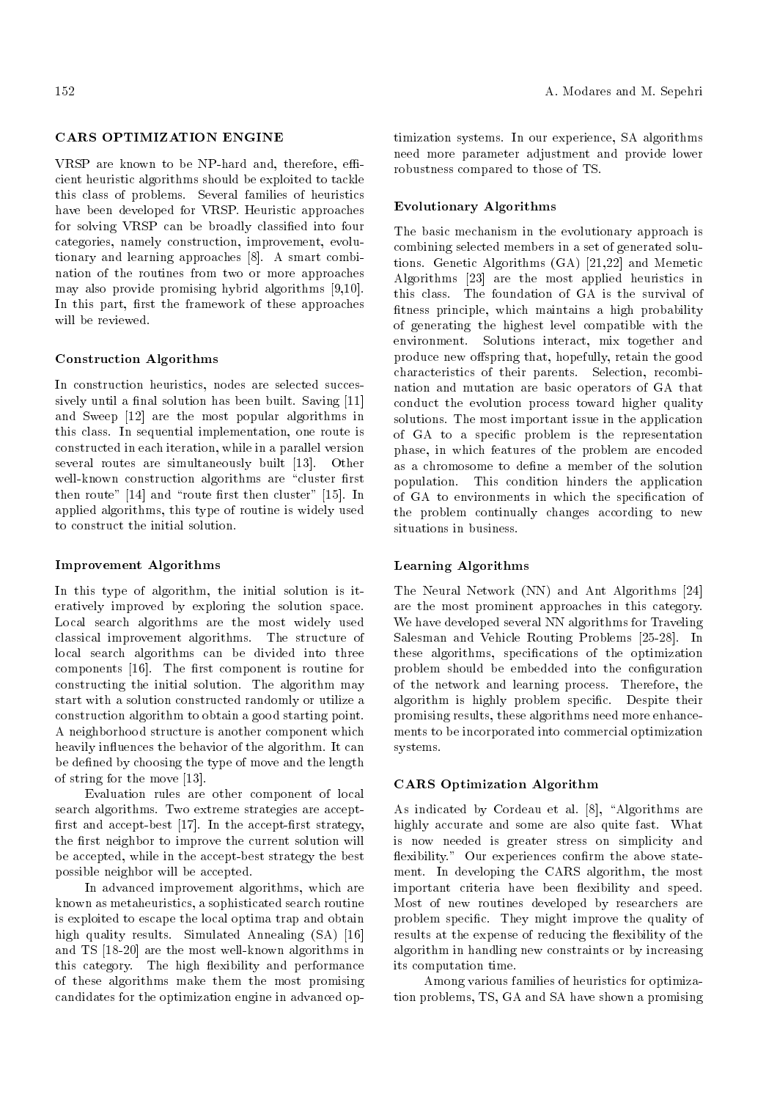### CARS OPTIMIZATION ENGINE

VRSP are known to be NP-hard and, therefore, efficient heuristic algorithms should be exploited to tackle this class of problems. Several families of heuristics have been developed for VRSP. Heuristic approaches for solving VRSP can be broadly classied into four categories, namely construction, improvement, evolutionary and learning approaches [8]. A smart combination of the routines from two or more approaches may also provide promising hybrid algorithms [9,10]. In this part, first the framework of these approaches will be reviewed.

#### Construction Algorithms

In construction heuristics, nodes are selected successively until a final solution has been built. Saving [11] and Sweep [12] are the most popular algorithms in this class. In sequential implementation, one route is constructed in each iteration, while in a parallel version several routes are simultaneously built [13]. Other well-known construction algorithms are "cluster first then route"  $[14]$  and "route first then cluster"  $[15]$ . In applied algorithms, this type of routine is widely used to construct the initial solution.

#### Improvement Algorithms

In this type of algorithm, the initial solution is iteratively improved by exploring the solution space. Local search algorithms are the most widely used classical improvement algorithms. The structure of local search algorithms can be divided into three components [16]. The first component is routine for constructing the initial solution. The algorithm may start with a solution constructed randomly or utilize a construction algorithm to obtain a good starting point. A neighborhood structure is another component which heavily influences the behavior of the algorithm. It can be defined by choosing the type of move and the length of string for the move [13].

Evaluation rules are other component of local search algorithms. Two extreme strategies are accept first and accept-best  $[17]$ . In the accept-first strategy, the first neighbor to improve the current solution will be accepted, while in the accept-best strategy the best possible neighbor will be accepted.

In advanced improvement algorithms, which are known as metaheuristics, a sophisticated search routine is exploited to escape the local optima trap and obtain high quality results. Simulated Annealing (SA) [16] and TS [18-20] are the most well-known algorithms in this category. The high flexibility and performance of these algorithms make them the most promising candidates for the optimization engine in advanced optimization systems. In our experience, SA algorithms need more parameter adjustment and provide lower robustness compared to those of TS.

# Evolutionary Algorithms

The basic mechanism in the evolutionary approach is combining selected members in a set of generated solutions. Genetic Algorithms (GA) [21,22] and Memetic Algorithms [23] are the most applied heuristics in this class. The foundation of GA is the survival of fitness principle, which maintains a high probability of generating the highest level compatible with the environment. Solutions interact, mix together and produce new offspring that, hopefully, retain the good characteristics of their parents. Selection, recombination and mutation are basic operators of GA that conduct the evolution process toward higher quality solutions. The most important issue in the application of GA to a specic problem is the representation phase, in which features of the problem are encoded as a chromosome to define a member of the solution population. This condition hinders the application of GA to environments in which the specication of the problem continually changes according to new situations in business.

### Learning Algorithms

The Neural Network (NN) and Ant Algorithms [24] are the most prominent approaches in this category. We have developed several NN algorithms for Traveling Salesman and Vehicle Routing Problems [25-28]. In these algorithms, specications of the optimization problem should be embedded into the conguration of the network and learning process. Therefore, the algorithm is highly problem specic. Despite their promising results, these algorithms need more enhancements to be incorporated into commercial optimization systems.

#### CARS Optimization Algorithm

As indicated by Cordeau et al.  $[8]$ , "Algorithms are highly accurate and some are also quite fast. What is now needed is greater stress on simplicity and flexibility." Our experiences confirm the above statement. In developing the CARS algorithm, the most important criteria have been flexibility and speed. Most of new routines developed by researchers are problem specic. They might improve the quality of results at the expense of reducing the flexibility of the algorithm in handling new constraints or by increasing its computation time.

Among various families of heuristics for optimization problems, TS, GA and SA have shown a promising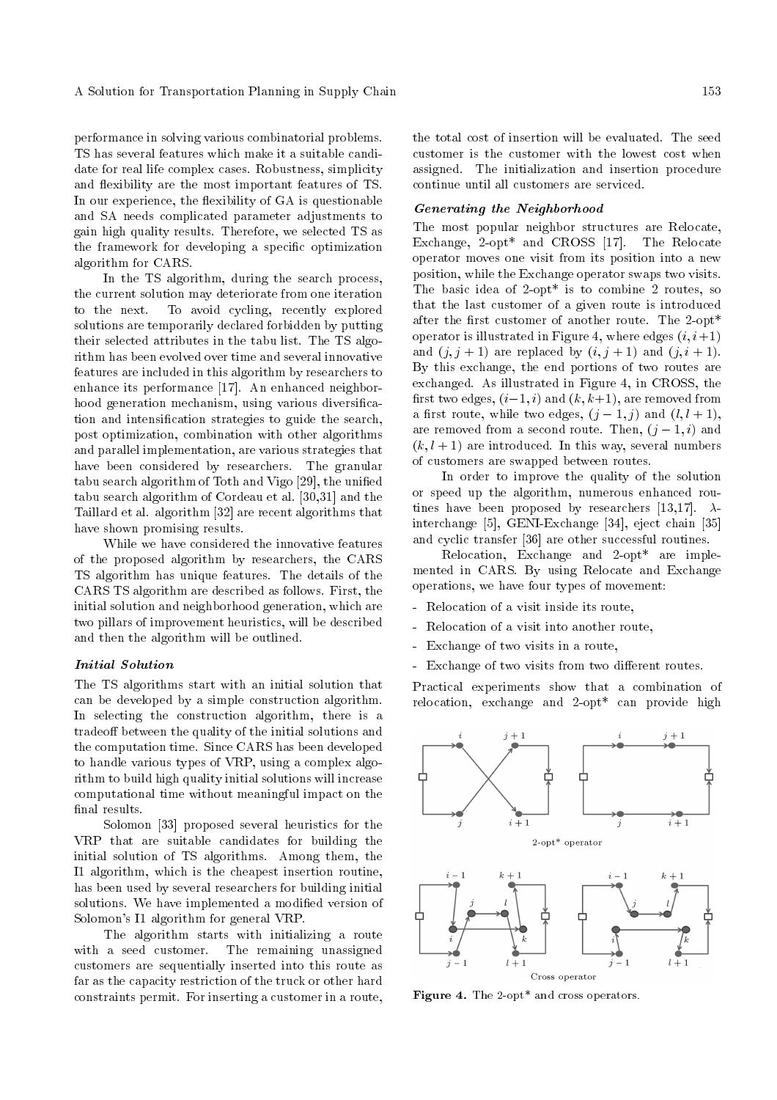performance in solving various combinatorial problems. TS has several features which make it a suitable candidate for real life complex cases. Robustness, simplicity and flexibility are the most important features of TS. In our experience, the flexibility of GA is questionable and SA needs complicated parameter adjustments to gain high quality results. Therefore, we selected TS as the framework for developing a specic optimization algorithm for CARS.

In the TS algorithm, during the search process, the current solution may deteriorate from one iteration to the next. To avoid cycling, recently explored solutions are temporarily declared forbidden by putting their selected attributes in the tabu list. The TS algorithm has been evolved over time and several innovative features are included in this algorithm by researchers to enhance its performance [17]. An enhanced neighborhood generation mechanism, using various diversification and intensication strategies to guide the search, post optimization, combination with other algorithms and parallel implementation, are various strategies that have been considered by researchers. The granular tabu search algorithm of Toth and Vigo [29], the unified tabu search algorithm of Cordeau et al. [30,31] and the Taillard et al. algorithm [32] are recent algorithms that have shown promising results.

While we have considered the innovative features of the proposed algorithm by researchers, the CARS TS algorithm has unique features. The details of the CARS TS algorithm are described as follows. First, the initial solution and neighborhood generation, which are two pillars of improvement heuristics, will be described and then the algorithm will be outlined.

#### Initial Solution

The TS algorithms start with an initial solution that can be developed by a simple construction algorithm. In selecting the construction algorithm, there is a tradeoff between the quality of the initial solutions and the computation time. Since CARS has been developed to handle various types of VRP, using a complex algorithm to build high quality initial solutions will increase computational time without meaningful impact on the final results.

Solomon [33] proposed several heuristics for the VRP that are suitable candidates for building the initial solution of TS algorithms. Among them, the I1 algorithm, which is the cheapest insertion routine, has been used by several researchers for building initial solutions. We have implemented a modified version of Solomon's I1 algorithm for general VRP.

The algorithm starts with initializing a route with a seed customer. The remaining unassigned customers are sequentially inserted into this route as far as the capacity restriction of the truck or other hard constraints permit. For inserting a customer in a route, the total cost of insertion will be evaluated. The seed customer is the customer with the lowest cost when assigned. The initialization and insertion procedure continue until all customers are serviced.

#### Generating the Neighborhood

The most popular neighbor structures are Relocate, Exchange, 2-opt\* and CROSS [17]. The Relocate operator moves one visit from its position into a new position, while the Exchange operator swaps two visits. The basic idea of 2-opt\* is to combine 2 routes, so that the last customer of a given route is introduced after the first customer of another route. The 2-opt\* operator is illustrated in Figure 4, where edges  $(i, i+1)$ and  $(j, j + 1)$  are replaced by  $(i, j + 1)$  and  $(j, i + 1)$ . By this exchange, the end portions of two routes are exchanged. As illustrated in Figure 4, in CROSS, the first two edges,  $(i-1, i)$  and  $(k, k+1)$ , are removed from a first route, while two edges,  $(j-1, j)$  and  $(l, l + 1)$ , are removed from a second route. Then,  $(j-1, i)$  and  $(k, l + 1)$  are introduced. In this way, several numbers of customers are swapped between routes.

In order to improve the quality of the solution or speed up the algorithm, numerous enhanced routines have been proposed by researchers [13,17].  $\lambda$ interchange [5], GENI-Exchange [34], eject chain [35] and cyclic transfer [36] are other successful routines.

Relocation, Exchange and 2-opt\* are implemented in CARS. By using Relocate and Exchange operations, we have four types of movement:

- Relocation of a visit inside its route,
- Relocation of a visit into another route,
- Exchange of two visits in a route,
- Exchange of two visits from two different routes.

Practical experiments show that a combination of relocation, exchange and 2-opt\* can provide high





Figure 4. The 2-opt\* and cross operators.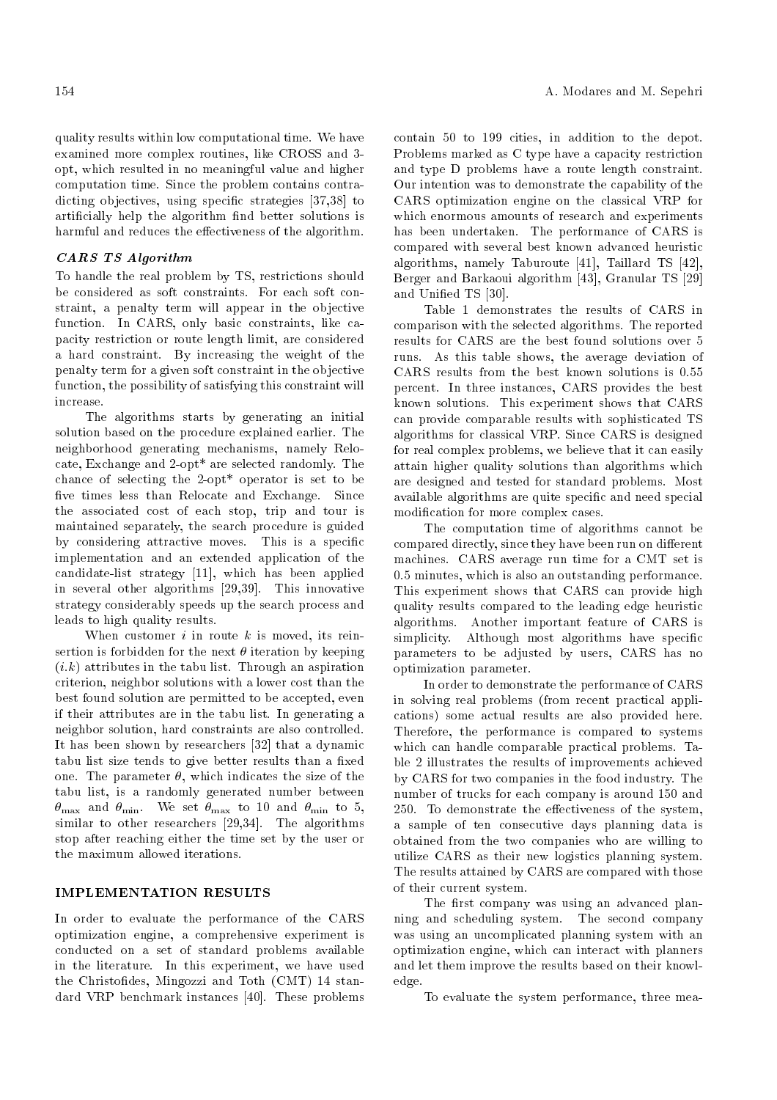quality results within low computational time. We have examined more complex routines, like CROSS and 3 opt, which resulted in no meaningful value and higher computation time. Since the problem contains contradicting objectives, using specic strategies [37,38] to articially help the algorithm nd better solutions is harmful and reduces the effectiveness of the algorithm.

# CARS TS Algorithm

To handle the real problem by TS, restrictions should be considered as soft constraints. For each soft constraint, a penalty term will appear in the objective function. In CARS, only basic constraints, like capacity restriction or route length limit, are considered a hard constraint. By increasing the weight of the penalty term for a given soft constraint in the objective function, the possibility of satisfying this constraint will increase.

The algorithms starts by generating an initial solution based on the procedure explained earlier. The neighborhood generating mechanisms, namely Relocate, Exchange and 2-opt\* are selected randomly. The chance of selecting the 2-opt\* operator is set to be five times less than Relocate and Exchange. Since the associated cost of each stop, trip and tour is maintained separately, the search procedure is guided by considering attractive moves. This is a specific implementation and an extended application of the candidate-list strategy [11], which has been applied in several other algorithms [29,39]. This innovative strategy considerably speeds up the search process and leads to high quality results.

When customer  $i$  in route  $k$  is moved, its reinsertion is forbidden for the next  $\theta$  iteration by keeping  $(i,k)$  attributes in the tabu list. Through an aspiration criterion, neighbor solutions with a lower cost than the best found solution are permitted to be accepted, even if their attributes are in the tabu list. In generating a neighbor solution, hard constraints are also controlled. It has been shown by researchers [32] that a dynamic tabu list size tends to give better results than a fixed one. The parameter  $\theta$ , which indicates the size of the tabu list, is a randomly generated number between  $\theta_{\text{max}}$  and  $\theta_{\text{min}}$ . We set  $\theta_{\text{max}}$  to 10 and  $\theta_{\text{min}}$  to 5, similar to other researchers [29,34]. The algorithms stop after reaching either the time set by the user or the maximum allowed iterations.

# IMPLEMENTATION RESULTS

In order to evaluate the performance of the CARS optimization engine, a comprehensive experiment is conducted on a set of standard problems available in the literature. In this experiment, we have used the Christofides, Mingozzi and Toth (CMT) 14 standard VRP benchmark instances [40]. These problems contain 50 to 199 cities, in addition to the depot. Problems marked as C type have a capacity restriction and type D problems have a route length constraint. Our intention was to demonstrate the capability of the CARS optimization engine on the classical VRP for which enormous amounts of research and experiments has been undertaken. The performance of CARS is compared with several best known advanced heuristic algorithms, namely Taburoute [41], Taillard TS [42], Berger and Barkaoui algorithm [43], Granular TS [29] and Unied TS [30].

Table 1 demonstrates the results of CARS in comparison with the selected algorithms. The reported results for CARS are the best found solutions over 5 runs. As this table shows, the average deviation of CARS results from the best known solutions is 0.55 percent. In three instances, CARS provides the best known solutions. This experiment shows that CARS can provide comparable results with sophisticated TS algorithms for classical VRP. Since CARS is designed for real complex problems, we believe that it can easily attain higher quality solutions than algorithms which are designed and tested for standard problems. Most available algorithms are quite specic and need special modication for more complex cases.

The computation time of algorithms cannot be compared directly, since they have been run on different machines. CARS average run time for a CMT set is 0.5 minutes, which is also an outstanding performance. This experiment shows that CARS can provide high quality results compared to the leading edge heuristic algorithms. Another important feature of CARS is simplicity. Although most algorithms have specific parameters to be adjusted by users, CARS has no optimization parameter.

In order to demonstrate the performance of CARS in solving real problems (from recent practical applications) some actual results are also provided here. Therefore, the performance is compared to systems which can handle comparable practical problems. Table 2 illustrates the results of improvements achieved by CARS for two companies in the food industry. The number of trucks for each company is around 150 and 250. To demonstrate the effectiveness of the system, a sample of ten consecutive days planning data is obtained from the two companies who are willing to utilize CARS as their new logistics planning system. The results attained by CARS are compared with those of their current system.

The first company was using an advanced planning and scheduling system. The second company was using an uncomplicated planning system with an optimization engine, which can interact with planners and let them improve the results based on their knowledge.

To evaluate the system performance, three mea-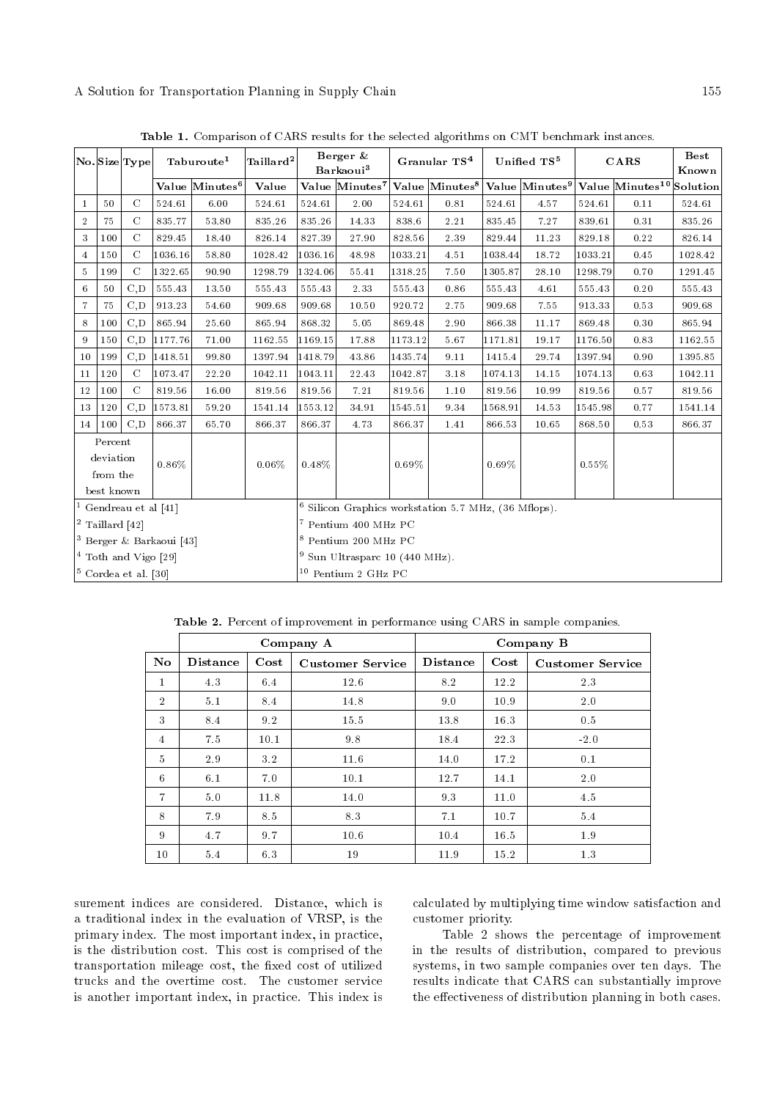| No Size Type                        |           |               | Taburoute <sup>1</sup> |                              | Taillard <sup>2</sup>                                           | Berger &<br>$B$ arkaoui $^3$ |                            | Granular TS <sup>4</sup> |                            | Unified TS <sup>5</sup> |       | CARS    |                                                                 | <b>Best</b><br>Known |
|-------------------------------------|-----------|---------------|------------------------|------------------------------|-----------------------------------------------------------------|------------------------------|----------------------------|--------------------------|----------------------------|-------------------------|-------|---------|-----------------------------------------------------------------|----------------------|
|                                     |           |               |                        | Value $ \mathrm{Minutes}^6 $ | Value                                                           |                              | Value Minutes <sup>7</sup> |                          | Value Minutes <sup>8</sup> |                         |       |         | Value Minutes <sup>9</sup> Value Minutes <sup>10</sup> Solution |                      |
| 1                                   | 50        | $\mathcal{C}$ | 524.61                 | 6.00                         | 524.61                                                          | 524.61                       | 2.00                       | 524.61                   | 0.81                       | 524.61                  | 4.57  | 524.61  | 0.11                                                            | 524.61               |
| $\overline{2}$                      | 75        | C             | 835.77                 | 53.80                        | 835.26                                                          | 835.26                       | 14.33                      | 838.6                    | 2.21                       | 835.45                  | 7.27  | 839.61  | 0.31                                                            | 835.26               |
| 3                                   | 100       | $\mathcal{C}$ | 829.45                 | 18.40                        | 826.14                                                          | 827.39                       | 27.90                      | 828.56                   | 2.39                       | 829.44                  | 11.23 | 829.18  | 0.22                                                            | 826.14               |
| $\overline{4}$                      | 150       | $\mathcal{C}$ | 1036.16                | 58.80                        | 1028.42                                                         | 1036.16                      | 48.98                      | 1033.21                  | 4.51                       | 1038.44                 | 18.72 | 1033.21 | 0.45                                                            | 1028.42              |
| $\overline{5}$                      | 199       | $\mathcal{C}$ | 1322.65                | 90.90                        | 1298.79                                                         | 1324.06                      | 55.41                      | 1318.25                  | 7.50                       | 1305.87                 | 28.10 | 1298.79 | 0.70                                                            | 1291.45              |
| 6                                   | 50        | C, D          | 555.43                 | 13.50                        | 555.43                                                          | 555.43                       | 2.33                       | 555.43                   | 0.86                       | 555.43                  | 4.61  | 555.43  | 0.20                                                            | 555.43               |
| 7                                   | 75        | C, D          | 913.23                 | 54.60                        | 909.68                                                          | 909.68                       | 10.50                      | 920.72                   | 2.75                       | 909.68                  | 7.55  | 913.33  | 0.53                                                            | 909.68               |
| 8                                   | 100       | C, D          | 865.94                 | 25.60                        | 865.94                                                          | 868.32                       | 5.05                       | 869.48                   | 2.90                       | 866.38                  | 11.17 | 869.48  | 0.30                                                            | 865.94               |
| 9                                   | 150       | C.D           | 1177.76                | 71.00                        | 1162.55                                                         | 1169.15                      | 17.88                      | 1173.12                  | 5.67                       | 1171.81                 | 19.17 | 1176.50 | 0.83                                                            | 1162.55              |
| 10                                  | 199       | C.D           | 1418.51                | 99.80                        | 1397.94                                                         | 1418.79                      | 43.86                      | 1435.74                  | 9.11                       | 1415.4                  | 29.74 | 1397.94 | 0.90                                                            | 1395.85              |
| 11                                  | 120       | $\mathcal{C}$ | 1073.47                | 22.20                        | 1042.11                                                         | 1043.11                      | 22.43                      | 1042.87                  | 3.18                       | 1074.13                 | 14.15 | 1074.13 | 0.63                                                            | 1042.11              |
| 12                                  | 100       | $\mathcal{C}$ | 819.56                 | 16.00                        | 819.56                                                          | 819.56                       | 7.21                       | 819.56                   | 1.10                       | 819.56                  | 10.99 | 819.56  | 0.57                                                            | 819.56               |
| 13                                  | 120       | C.D           | 1573.81                | 59.20                        | 1541.14                                                         | 1553.12                      | 34.91                      | 1545.51                  | 9.34                       | 1568.91                 | 14.53 | 1545.98 | 0.77                                                            | 1541.14              |
| 14 <sup>1</sup>                     | 100       | C.D           | 866.37                 | 65.70                        | 866.37                                                          | 866.37                       | 4.73                       | 866.37                   | 1.41                       | 866.53                  | 10.65 | 868.50  | 0.53                                                            | 866.37               |
|                                     | Percent   |               |                        |                              |                                                                 |                              |                            |                          |                            |                         |       |         |                                                                 |                      |
|                                     | deviation |               | 0.86%                  |                              | $0.06\%$                                                        | $0.48\%$                     |                            | 0.69%                    |                            | $0.69\%$                |       | 0.55%   |                                                                 |                      |
|                                     | from the  |               |                        |                              |                                                                 |                              |                            |                          |                            |                         |       |         |                                                                 |                      |
| best known                          |           |               |                        |                              |                                                                 |                              |                            |                          |                            |                         |       |         |                                                                 |                      |
| Gendreau et al [41]                 |           |               |                        |                              | <sup>6</sup> Silicon Graphics workstation 5.7 MHz, (36 Mflops). |                              |                            |                          |                            |                         |       |         |                                                                 |                      |
| $ $ <sup>2</sup> Taillard $ 42 $    |           |               |                        |                              | <sup>7</sup> Pentium 400 MHz PC                                 |                              |                            |                          |                            |                         |       |         |                                                                 |                      |
| <sup>3</sup> Berger & Barkaoui [43] |           |               |                        |                              | <sup>8</sup> Pentium 200 MHz PC                                 |                              |                            |                          |                            |                         |       |         |                                                                 |                      |
| $4$ Toth and Vigo [29]              |           |               |                        |                              | $9$ Sun Ultrasparc 10 (440 MHz).                                |                              |                            |                          |                            |                         |       |         |                                                                 |                      |
| $ 5 \text{ Cordea et al. } [30]$    |           |               |                        |                              | $10$ Pentium 2 GHz PC                                           |                              |                            |                          |                            |                         |       |         |                                                                 |                      |

Table 1. Comparison of CARS results for the selected algorithms on CMT benchmark instances.

Table 2. Percent of improvement in performance using CARS in sample companies.

|                        |                 |          | Company A               | Company B       |          |                         |  |  |
|------------------------|-----------------|----------|-------------------------|-----------------|----------|-------------------------|--|--|
| $\mathbf{N}\mathbf{o}$ | <b>Distance</b> | $\cos t$ | <b>Customer Service</b> | <b>Distance</b> | $\cos t$ | <b>Customer Service</b> |  |  |
| $\mathbf{1}$           | 4.3             | 6.4      | 12.6                    | 8.2             | 12.2     | 2.3                     |  |  |
| $\overline{2}$         | 5.1             | 8.4      | 14.8                    | 9.0             | 10.9     | 2.0                     |  |  |
| 3                      | 8.4             | 9.2      | 15.5                    | 13.8            | 16.3     | 0.5                     |  |  |
| 4                      | 7.5             | 10.1     | 9.8                     | 18.4            | 22.3     | $-2.0$                  |  |  |
| $\overline{5}$         | 2.9             | 3.2      | 11.6                    | 14.0            | 17.2     | 0.1                     |  |  |
| 6                      | 6.1             | 7.0      | 10.1                    | 12.7            | 14.1     | 2.0                     |  |  |
| $\overline{7}$         | 5.0             | 11.8     | 14.0                    | 9.3             | 11.0     | 4.5                     |  |  |
| 8                      | 79              | 8.5      | 8.3                     | 7.1             | 10.7     | 5.4                     |  |  |
| 9                      | 4.7             | 9.7      | 10.6                    | 10.4            | 16.5     | 1.9                     |  |  |
| 10                     | 5.4             | 6.3      | 19                      | 11.9            | 15.2     | 1.3                     |  |  |

surement indices are considered. Distance, which is a traditional index in the evaluation of VRSP, is the primary index. The most important index, in practice, is the distribution cost. This cost is comprised of the transportation mileage cost, the fixed cost of utilized trucks and the overtime cost. The customer service is another important index, in practice. This index is calculated by multiplying time window satisfaction and customer priority.

Table 2 shows the percentage of improvement in the results of distribution, compared to previous systems, in two sample companies over ten days. The results indicate that CARS can substantially improve the effectiveness of distribution planning in both cases.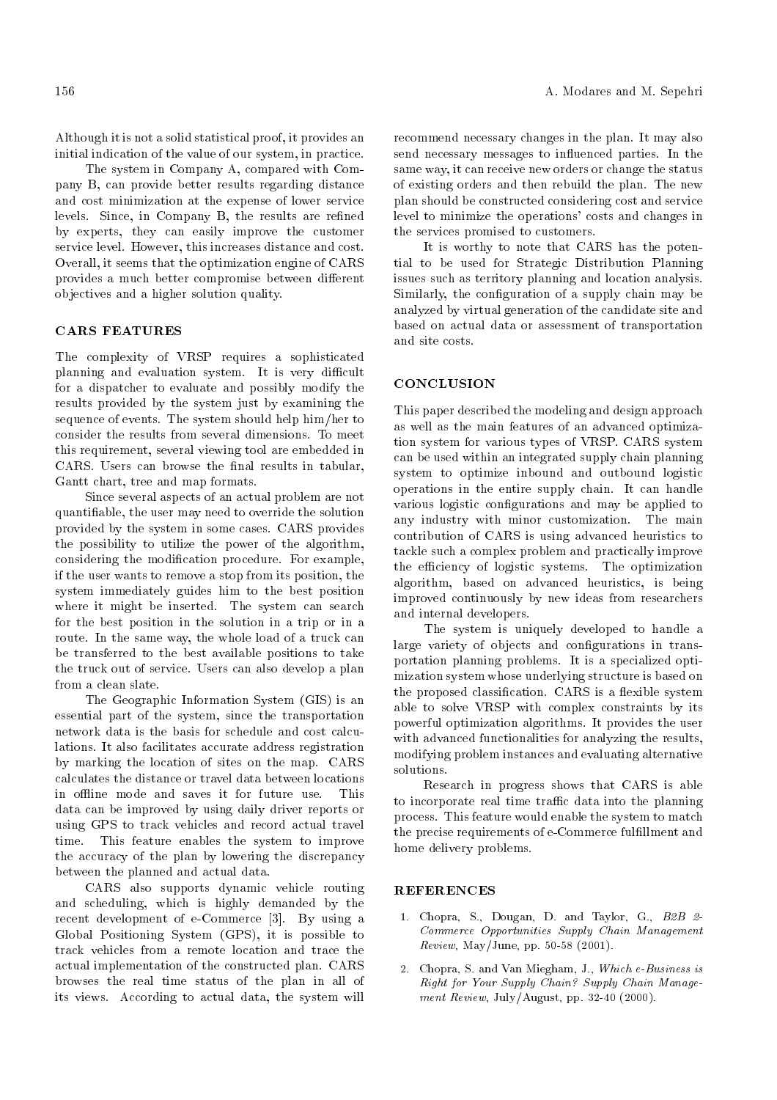Although it is not a solid statistical proof, it provides an initial indication of the value of our system, in practice.

The system in Company A, compared with Company B, can provide better results regarding distance and cost minimization at the expense of lower service levels. Since, in Company B, the results are refined by experts, they can easily improve the customer service level. However, this increases distance and cost. Overall, it seems that the optimization engine of CARS provides a much better compromise between different objectives and a higher solution quality.

## CARS FEATURES

The complexity of VRSP requires a sophisticated planning and evaluation system. It is very difficult for a dispatcher to evaluate and possibly modify the results provided by the system just by examining the sequence of events. The system should help him/her to consider the results from several dimensions. To meet this requirement, several viewing tool are embedded in CARS. Users can browse the final results in tabular, Gantt chart, tree and map formats.

Since several aspects of an actual problem are not quantiable, the user may need to override the solution provided by the system in some cases. CARS provides the possibility to utilize the power of the algorithm, considering the modication procedure. For example, if the user wants to remove a stop from its position, the system immediately guides him to the best position where it might be inserted. The system can search for the best position in the solution in a trip or in a route. In the same way, the whole load of a truck can be transferred to the best available positions to take the truck out of service. Users can also develop a plan from a clean slate.

The Geographic Information System (GIS) is an essential part of the system, since the transportation network data is the basis for schedule and cost calculations. It also facilitates accurate address registration by marking the location of sites on the map. CARS calculates the distance or travel data between locations in offline mode and saves it for future use. This data can be improved by using daily driver reports or using GPS to track vehicles and record actual travel time. This feature enables the system to improve the accuracy of the plan by lowering the discrepancy between the planned and actual data.

CARS also supports dynamic vehicle routing and scheduling, which is highly demanded by the recent development of e-Commerce [3]. By using a Global Positioning System (GPS), it is possible to track vehicles from a remote location and trace the actual implementation of the constructed plan. CARS browses the real time status of the plan in all of its views. According to actual data, the system will

recommend necessary changes in the plan. It may also send necessary messages to influenced parties. In the same way, it can receive new orders or change the status of existing orders and then rebuild the plan. The new plan should be constructed considering cost and service level to minimize the operations' costs and changes in the services promised to customers.

It is worthy to note that CARS has the potential to be used for Strategic Distribution Planning issues such as territory planning and location analysis. Similarly, the configuration of a supply chain may be analyzed by virtual generation of the candidate site and based on actual data or assessment of transportation and site costs.

# **CONCLUSION**

This paper described the modeling and design approach as well as the main features of an advanced optimization system for various types of VRSP. CARS system can be used within an integrated supply chain planning system to optimize inbound and outbound logistic operations in the entire supply chain. It can handle various logistic configurations and may be applied to any industry with minor customization. The main contribution of CARS is using advanced heuristics to tackle such a complex problem and practically improve the efficiency of logistic systems. The optimization algorithm, based on advanced heuristics, is being improved continuously by new ideas from researchers and internal developers.

The system is uniquely developed to handle a large variety of objects and configurations in transportation planning problems. It is a specialized optimization system whose underlying structure is based on the proposed classification. CARS is a flexible system able to solve VRSP with complex constraints by its powerful optimization algorithms. It provides the user with advanced functionalities for analyzing the results, modifying problem instances and evaluating alternative solutions.

Research in progress shows that CARS is able to incorporate real time traffic data into the planning process. This feature would enable the system to match the precise requirements of e-Commerce fulfillment and home delivery problems.

#### REFERENCES

- 1. Chopra, S., Dougan, D. and Taylor, G., B2B 2- Commerce Opportunities Supply Chain Management *Review*, May/June, pp. 50-58 (2001).
- 2. Chopra, S. and Van Miegham, J., Which e-Business is Right for Your Supply Chain? Supply Chain Management Review, July/August, pp. 32-40 (2000).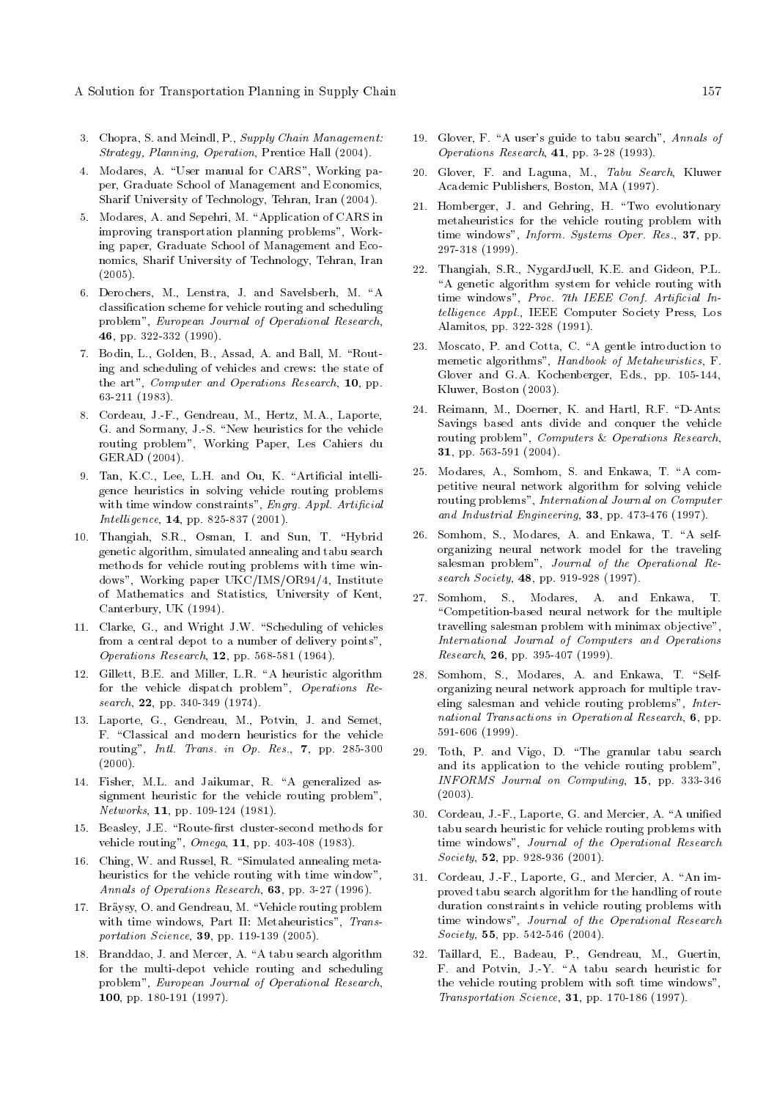- 3. Chopra, S. and Meindl, P., Supply Chain Management: Strategy, Planning, Operation, Prentice Hall (2004).
- 4. Modares, A. "User manual for CARS", Working paper, Graduate School of Management and Economics, Sharif University of Technology, Tehran, Iran (2004).
- 5. Modares, A. and Sepehri, M. "Application of CARS in improving transportation planning problems", Working paper, Graduate School of Management and Economics, Sharif University of Technology, Tehran, Iran (2005).
- 6. Derochers, M., Lenstra, J. and Savelsberh, M. "A classication scheme for vehicle routing and scheduling problem", European Journal of Operational Research, 46, pp. 322-332 (1990).
- 7. Bodin, L., Golden, B., Assad, A. and Ball, M. "Routing and scheduling of vehicles and crews: the state of the art", Computer and Operations Research, 10, pp. 63-211 (1983).
- 8. Cordeau, J.-F., Gendreau, M., Hertz, M.A., Laporte, G. and Sormany, J.-S. "New heuristics for the vehicle routing problem", Working Paper, Les Cahiers du GERAD (2004).
- 9. Tan, K.C., Lee, L.H. and Ou, K. "Artificial intelligence heuristics in solving vehicle routing problems with time window constraints", Engrg. Appl. Artificial Intelligence, 14, pp. 825-837 (2001).
- 10. Thangiah, S.R., Osman, I. and Sun, T. \Hybrid genetic algorithm, simulated annealing and tabu search methods for vehicle routing problems with time windows", Working paper UKC/IMS/OR94/4, Institute of Mathematics and Statistics, University of Kent, Canterbury, UK (1994).
- 11. Clarke, G., and Wright J.W. "Scheduling of vehicles from a central depot to a number of delivery points", Operations Research, 12, pp. 568-581 (1964).
- 12. Gillett, B.E. and Miller, L.R. "A heuristic algorithm for the vehicle dispatch problem", Operations Research, 22, pp. 340-349 (1974).
- 13. Laporte, G., Gendreau, M., Potvin, J. and Semet, F. "Classical and modern heuristics for the vehicle routing", Intl. Trans. in Op. Res., 7, pp. 285-300  $(2000)$ .
- 14. Fisher, M.L. and Jaikumar, R. "A generalized assignment heuristic for the vehicle routing problem", Networks, 11, pp. 109-124 (1981).
- 15. Beasley, J.E. "Route-first cluster-second methods for vehicle routing", Omega, 11, pp. 403-408 (1983).
- 16. Ching, W. and Russel, R. "Simulated annealing metaheuristics for the vehicle routing with time window", Annals of Operations Research, 63, pp. 3-27 (1996).
- 17. Bräysy, O. and Gendreau, M. "Vehicle routing problem with time windows, Part II: Metaheuristics", Transportation Science, 39, pp. 119-139 (2005).
- 18. Branddao, J. and Mercer, A. "A tabu search algorithm for the multi-depot vehicle routing and scheduling problem", European Journal of Operational Research, 100, pp. 180-191 (1997).
- 19. Glover, F. "A user's guide to tabu search", Annals of Operations Research, 41, pp. 3-28 (1993).
- 20. Glover, F. and Laguna, M., Tabu Search, Kluwer Academic Publishers, Boston, MA (1997).
- 21. Homberger, J. and Gehring, H. \Two evolutionary metaheuristics for the vehicle routing problem with time windows", Inform. Systems Oper. Res., 37, pp. 297-318 (1999).
- 22. Thangiah, S.R., NygardJuell, K.E. and Gideon, P.L. "A genetic algorithm system for vehicle routing with time windows", Proc. 7th IEEE Conf. Artificial Intelligence Appl., IEEE Computer Society Press, Los Alamitos, pp. 322-328 (1991).
- 23. Moscato, P. and Cotta, C. "A gentle introduction to memetic algorithms", Handbook of Metaheuristics, F. Glover and G.A. Kochenberger, Eds., pp. 105-144, Kluwer, Boston (2003).
- 24. Reimann, M., Doerner, K. and Hartl, R.F. "D-Ants: Savings based ants divide and conquer the vehicle routing problem", Computers & Operations Research, 31, pp. 563-591 (2004).
- 25. Modares, A., Somhom, S. and Enkawa, T. "A competitive neural network algorithm for solving vehicle routing problems", International Journal on Computer and Industrial Engineering,  $33$ , pp. 473-476 (1997).
- 26. Somhom, S., Modares, A. and Enkawa, T. "A selforganizing neural network model for the traveling salesman problem", Journal of the Operational Research Society, 48, pp. 919-928 (1997).
- 27. Somhom, S., Modares, A. and Enkawa, T. \Competition-based neural network for the multiple travelling salesman problem with minimax objective", International Journal of Computers and Operations Research, 26, pp. 395-407 (1999).
- 28. Somhom, S., Modares, A. and Enkawa, T. "Selforganizing neural network approach for multiple traveling salesman and vehicle routing problems", International Transactions in Operational Research, 6, pp. 591-606 (1999).
- 29. Toth, P. and Vigo, D. \The granular tabu search and its application to the vehicle routing problem", INFORMS Journal on Computing, 15, pp. 333-346 (2003).
- 30. Cordeau, J.-F., Laporte, G. and Mercier, A. "A unified tabu search heuristic for vehicle routing problems with time windows", Journal of the Operational Research Society, **52**, pp. 928-936 (2001).
- 31. Cordeau, J.-F., Laporte, G., and Mercier, A. "An improved tabu search algorithm for the handling of route duration constraints in vehicle routing problems with time windows", Journal of the Operational Research Society, **55**, pp. 542-546 (2004).
- 32. Taillard, E., Badeau, P., Gendreau, M., Guertin, F. and Potvin, J.-Y. "A tabu search heuristic for the vehicle routing problem with soft time windows", Transportation Science, 31, pp. 170-186 (1997).